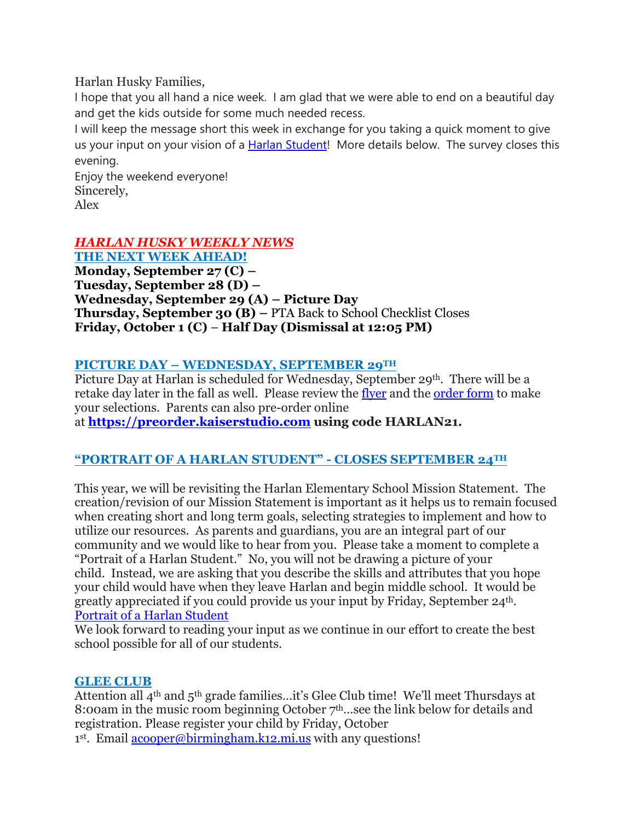Harlan Husky Families,

I hope that you all hand a nice week. I am glad that we were able to end on a beautiful day and get the kids outside for some much needed recess.

I will keep the message short this week in exchange for you taking a quick moment to give us your input on your vision of a Harlan [Student!](https://docs.google.com/forms/d/e/1FAIpQLSezFNqj1DwEnKgghWxC9N1R7ZBCwIhseLKOHS-HsdWn-zl_6Q/viewform?usp=sf_link) More details below. The survey closes this evening.

Enjoy the weekend everyone! Sincerely, Alex

# *HARLAN HUSKY WEEKLY NEWS*

**THE NEXT WEEK AHEAD! Monday, September 27 (C) – Tuesday, September 28 (D) – Wednesday, September 29 (A) – Picture Day Thursday, September 30 (B) –** PTA Back to School Checklist Closes **Friday, October 1 (C)** – **Half Day (Dismissal at 12:05 PM)**

# **PICTURE DAY – WEDNESDAY, SEPTEMBER 29TH**

Picture Day at Harlan is scheduled for Wednesday, September 29<sup>th</sup>. There will be a retake day later in the fall as well. Please review the [flyer](https://drive.google.com/file/d/1hKLsJpkh4oHi_oIdpKAYy7no_wfhUSks/view?usp=sharing) and the [order](https://drive.google.com/file/d/121U7IhsSFLdYDhPPyTGt4COGKzoIH7Fg/view?usp=sharing) form to make your selections. Parents can also pre-order online

at **[https://preorder.kaiserstudio.com](https://preorder.kaiserstudio.com/) using code HARLAN21.**

# **"PORTRAIT OF A HARLAN STUDENT" - CLOSES SEPTEMBER 24TH**

This year, we will be revisiting the Harlan Elementary School Mission Statement. The creation/revision of our Mission Statement is important as it helps us to remain focused when creating short and long term goals, selecting strategies to implement and how to utilize our resources. As parents and guardians, you are an integral part of our community and we would like to hear from you. Please take a moment to complete a "Portrait of a Harlan Student." No, you will not be drawing a picture of your child. Instead, we are asking that you describe the skills and attributes that you hope your child would have when they leave Harlan and begin middle school. It would be greatly appreciated if you could provide us your input by Friday, September 24th. Portrait of a Harlan [Student](https://docs.google.com/forms/d/e/1FAIpQLSezFNqj1DwEnKgghWxC9N1R7ZBCwIhseLKOHS-HsdWn-zl_6Q/viewform?usp=sf_link)

We look forward to reading your input as we continue in our effort to create the best school possible for all of our students.

# **GLEE CLUB**

Attention all 4th and 5th grade families…it's Glee Club time! We'll meet Thursdays at 8:00am in the music room beginning October  $7<sup>th</sup>$  see the link below for details and registration. Please register your child by Friday, October

1<sup>st</sup>. Email **[acooper@birmingham.k12.mi.us](mailto:acooper@birmingham.k12.mi.us)** with any questions!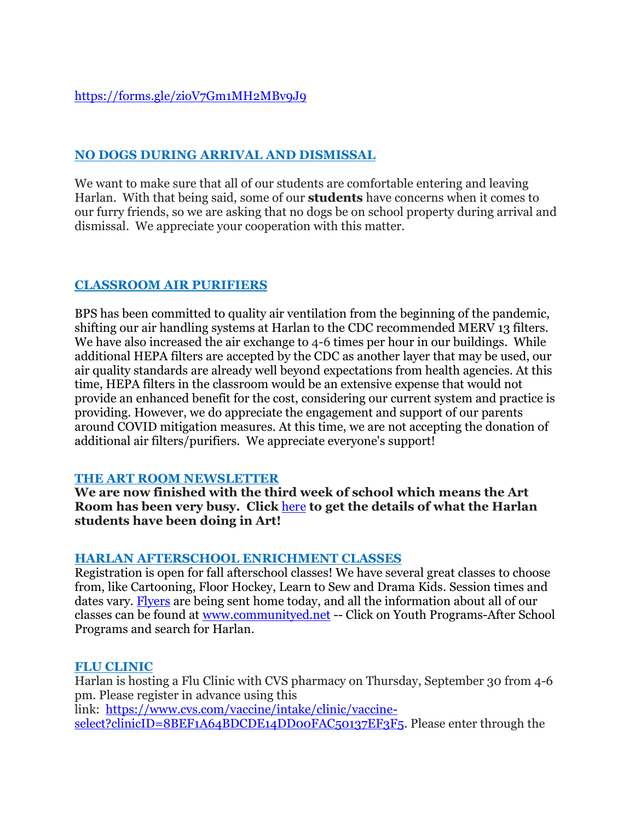# <https://forms.gle/zioV7Gm1MH2MBv9J9>

## **NO DOGS DURING ARRIVAL AND DISMISSAL**

We want to make sure that all of our students are comfortable entering and leaving Harlan. With that being said, some of our **students** have concerns when it comes to our furry friends, so we are asking that no dogs be on school property during arrival and dismissal. We appreciate your cooperation with this matter.

## **CLASSROOM AIR PURIFIERS**

BPS has been committed to quality air ventilation from the beginning of the pandemic, shifting our air handling systems at Harlan to the CDC recommended MERV 13 filters. We have also increased the air exchange to 4-6 times per hour in our buildings. While additional HEPA filters are accepted by the CDC as another layer that may be used, our air quality standards are already well beyond expectations from health agencies. At this time, HEPA filters in the classroom would be an extensive expense that would not provide an enhanced benefit for the cost, considering our current system and practice is providing. However, we do appreciate the engagement and support of our parents around COVID mitigation measures. At this time, we are not accepting the donation of additional air filters/purifiers. We appreciate everyone's support!

### **THE ART ROOM NEWSLETTER**

**We are now finished with the third week of school which means the Art Room has been very busy. Click** [here](https://drive.google.com/file/d/1XwDk_0J0Turwu60ckw90hhD_vTDTZrSG/view?usp=sharing) **to get the details of what the Harlan students have been doing in Art!**

#### **HARLAN AFTERSCHOOL ENRICHMENT CLASSES**

Registration is open for fall afterschool classes! We have several great classes to choose from, like Cartooning, Floor Hockey, Learn to Sew and Drama Kids. Session times and dates vary. [Flyers](https://drive.google.com/file/d/1-gsxF8r57yoi9VLwxOusOhrIwt7gVfUO/view?usp=sharing) are being sent home today, and all the information about all of our classes can be found at [www.communityed.net](http://www.communityed.net/) -- Click on Youth Programs-After School Programs and search for Harlan.

### **FLU CLINIC**

Harlan is hosting a Flu Clinic with CVS pharmacy on Thursday, September 30 from 4-6 pm. Please register in advance using this link: [https://www.cvs.com/vaccine/intake/clinic/vaccine](https://www.cvs.com/vaccine/intake/clinic/vaccine-select?clinicID=8BEF1A64BDCDE14DD00FAC50137EF3F5)[select?clinicID=8BEF1A64BDCDE14DD00FAC50137EF3F5.](https://www.cvs.com/vaccine/intake/clinic/vaccine-select?clinicID=8BEF1A64BDCDE14DD00FAC50137EF3F5) Please enter through the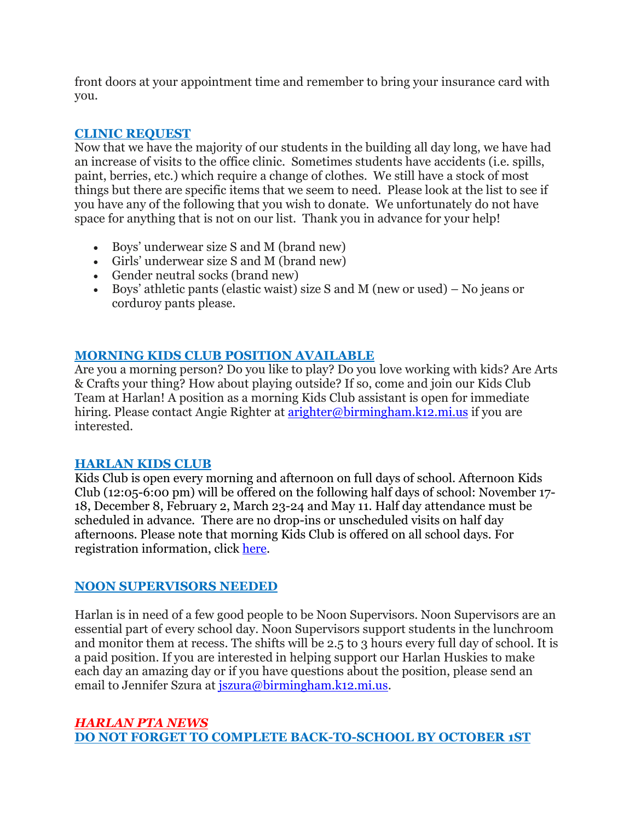front doors at your appointment time and remember to bring your insurance card with you.

# **CLINIC REQUEST**

Now that we have the majority of our students in the building all day long, we have had an increase of visits to the office clinic. Sometimes students have accidents (i.e. spills, paint, berries, etc.) which require a change of clothes. We still have a stock of most things but there are specific items that we seem to need. Please look at the list to see if you have any of the following that you wish to donate. We unfortunately do not have space for anything that is not on our list. Thank you in advance for your help!

- Boys' underwear size S and M (brand new)
- Girls' underwear size S and M (brand new)
- Gender neutral socks (brand new)
- Boys' athletic pants (elastic waist) size S and M (new or used) No jeans or corduroy pants please.

# **MORNING KIDS CLUB POSITION AVAILABLE**

Are you a morning person? Do you like to play? Do you love working with kids? Are Arts & Crafts your thing? How about playing outside? If so, come and join our Kids Club Team at Harlan! A position as a morning Kids Club assistant is open for immediate hiring. Please contact Angie Righter at [arighter@birmingham.k12.mi.us](mailto:arighter@birmingham.k12.mi.us) if you are interested.

### **HARLAN KIDS CLUB**

Kids Club is open every morning and afternoon on full days of school. Afternoon Kids Club (12:05-6:00 pm) will be offered on the following half days of school: November 17- 18, December 8, February 2, March 23-24 and May 11. Half day attendance must be scheduled in advance. There are no drop-ins or unscheduled visits on half day afternoons. Please note that morning Kids Club is offered on all school days. For registration information, click [here.](https://www.birmingham.k12.mi.us/cms/lib/MI01908619/Centricity/Domain/494/2021-2022%20KIDS%20CLUB%20registration%20instructions.pdf)

### **NOON SUPERVISORS NEEDED**

Harlan is in need of a few good people to be Noon Supervisors. Noon Supervisors are an essential part of every school day. Noon Supervisors support students in the lunchroom and monitor them at recess. The shifts will be 2.5 to 3 hours every full day of school. It is a paid position. If you are interested in helping support our Harlan Huskies to make each day an amazing day or if you have questions about the position, please send an email to Jennifer Szura at *[jszura@birmingham.k12.mi.us.](mailto:jszura@birmingham.k12.mi.us)* 

## *HARLAN PTA NEWS* **DO NOT FORGET TO COMPLETE BACK-TO-SCHOOL BY OCTOBER 1ST**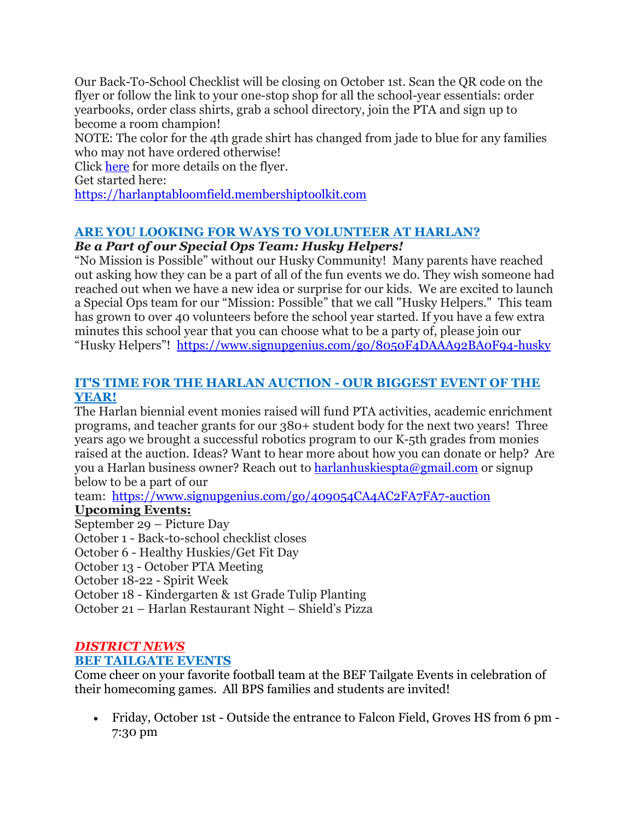Our Back-To-School Checklist will be closing on October 1st. Scan the QR code on the flyer or follow the link to your one-stop shop for all the school-year essentials: order yearbooks, order class shirts, grab a school directory, join the PTA and sign up to become a room champion!

NOTE: The color for the 4th grade shirt has changed from jade to blue for any families who may not have ordered otherwise!

Click [here](https://drive.google.com/file/d/1CY9U-lVxwWa1H7jVXMbqOaTOfcYvGk6S/view?usp=sharing) for more details on the flyer.

Get started here:

[https://harlanptabloomfield.membershiptoolkit.com](https://harlanptabloomfield.membershiptoolkit.com/)

# **ARE YOU LOOKING FOR WAYS TO VOLUNTEER AT HARLAN?**

# *Be a Part of our Special Ops Team: Husky Helpers!*

"No Mission is Possible" without our Husky Community! Many parents have reached out asking how they can be a part of all of the fun events we do. They wish someone had reached out when we have a new idea or surprise for our kids. We are excited to launch a Special Ops team for our "Mission: Possible" that we call "Husky Helpers." This team has grown to over 40 volunteers before the school year started. If you have a few extra minutes this school year that you can choose what to be a party of, please join our "Husky Helpers"! <https://www.signupgenius.com/go/8050F4DAAA92BA0F94-husky>

## **IT'S TIME FOR THE HARLAN AUCTION - OUR BIGGEST EVENT OF THE YEAR!**

The Harlan biennial event monies raised will fund PTA activities, academic enrichment programs, and teacher grants for our 380+ student body for the next two years! Three years ago we brought a successful robotics program to our K-5th grades from monies raised at the auction. Ideas? Want to hear more about how you can donate or help? Are you a Harlan business owner? Reach out to [harlanhuskiespta@gmail.com](mailto:harlanhuskiespta@gmail.com) or signup below to be a part of our

team: <https://www.signupgenius.com/go/409054CA4AC2FA7FA7-auction>

# **Upcoming Events:**

September 29 – Picture Day

October 1 - Back-to-school checklist closes

October 6 - Healthy Huskies/Get Fit Day

October 13 - October PTA Meeting

October 18-22 - Spirit Week

October 18 - Kindergarten & 1st Grade Tulip Planting

October 21 – Harlan Restaurant Night – Shield's Pizza

### *DISTRICT NEWS* **BEF TAILGATE EVENTS**

Come cheer on your favorite football team at the BEF Tailgate Events in celebration of their homecoming games. All BPS families and students are invited!

• Friday, October 1st - Outside the entrance to Falcon Field, Groves HS from 6 pm - 7:30 pm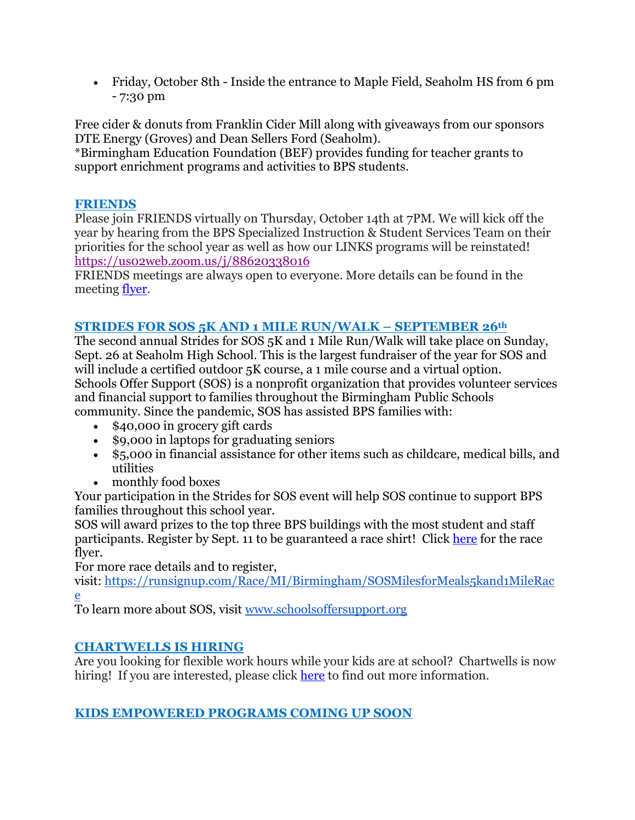• Friday, October 8th - Inside the entrance to Maple Field, Seaholm HS from 6 pm - 7:30 pm

Free cider & donuts from Franklin Cider Mill along with giveaways from our sponsors DTE Energy (Groves) and Dean Sellers Ford (Seaholm).

\*Birmingham Education Foundation (BEF) provides funding for teacher grants to support enrichment programs and activities to BPS students.

## **FRIENDS**

Please join FRIENDS virtually on Thursday, October 14th at 7PM. We will kick off the year by hearing from the BPS Specialized Instruction & Student Services Team on their priorities for the school year as well as how our LINKS programs will be reinstated! <https://us02web.zoom.us/j/88620338016>

FRIENDS meetings are always open to everyone. More details can be found in the meeting [flyer.](https://drive.google.com/file/d/1eiQiHXU8pNB-uXBRYIF8YZuHlh1yXSoA/view?usp=sharing)

# **STRIDES FOR SOS 5K AND 1 MILE RUN/WALK – SEPTEMBER 26th**

The second annual Strides for SOS 5K and 1 Mile Run/Walk will take place on Sunday, Sept. 26 at Seaholm High School. This is the largest fundraiser of the year for SOS and will include a certified outdoor 5K course, a 1 mile course and a virtual option. Schools Offer Support (SOS) is a nonprofit organization that provides volunteer services and financial support to families throughout the Birmingham Public Schools community. Since the pandemic, SOS has assisted BPS families with:

- \$40,000 in grocery gift cards
- \$9,000 in laptops for graduating seniors
- \$5,000 in financial assistance for other items such as childcare, medical bills, and utilities
- monthly food boxes

Your participation in the Strides for SOS event will help SOS continue to support BPS families throughout this school year.

SOS will award prizes to the top three BPS buildings with the most student and staff participants. Register by Sept. 11 to be guaranteed a race shirt! Click [here](https://drive.google.com/file/d/1HZiX469TI_RpZDKjbkirZBQQNdvlQpmX/view?usp=sharing) for the race flyer.

For more race details and to register,

visit: [https://runsignup.com/Race/MI/Birmingham/SOSMilesforMeals5kand1MileRac](https://runsignup.com/Race/MI/Birmingham/SOSMilesforMeals5kand1MileRace) [e](https://runsignup.com/Race/MI/Birmingham/SOSMilesforMeals5kand1MileRace)

To learn more about SOS, visit [www.schoolsoffersupport.org](http://www.schoolsoffersupport.org/)

# **CHARTWELLS IS HIRING**

Are you looking for flexible work hours while your kids are at school? Chartwells is now hiring! If you are interested, please click [here](https://drive.google.com/file/d/1BZnOWYoHzPSntYtVL11r7nlIkMYTQFdQ/view?usp=sharing) to find out more information.

# **KIDS EMPOWERED PROGRAMS COMING UP SOON**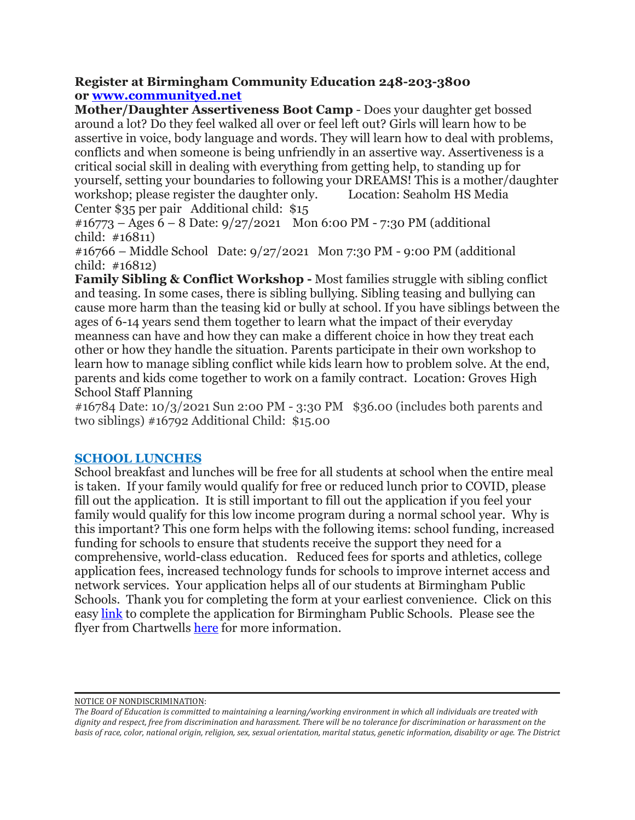### **Register at Birmingham Community Education 248-203-3800 or [www.communityed.net](http://www.communityed.net/)**

**Mother/Daughter Assertiveness Boot Camp** - Does your daughter get bossed around a lot? Do they feel walked all over or feel left out? Girls will learn how to be assertive in voice, body language and words. They will learn how to deal with problems, conflicts and when someone is being unfriendly in an assertive way. Assertiveness is a critical social skill in dealing with everything from getting help, to standing up for yourself, setting your boundaries to following your DREAMS! This is a mother/daughter workshop; please register the daughter only. Location: Seaholm HS Media Center \$35 per pair Additional child: \$15

 $\text{\#16773}$  – Ages 6 – 8 Date: 9/27/2021 Mon 6:00 PM - 7:30 PM (additional child: #16811)

#16766 – Middle School Date: 9/27/2021 Mon 7:30 PM - 9:00 PM (additional child: #16812)

**Family Sibling & Conflict Workshop -** Most families struggle with sibling conflict and teasing. In some cases, there is sibling bullying. Sibling teasing and bullying can cause more harm than the teasing kid or bully at school. If you have siblings between the ages of 6-14 years send them together to learn what the impact of their everyday meanness can have and how they can make a different choice in how they treat each other or how they handle the situation. Parents participate in their own workshop to learn how to manage sibling conflict while kids learn how to problem solve. At the end, parents and kids come together to work on a family contract. Location: Groves High School Staff Planning

#16784 Date: 10/3/2021 Sun 2:00 PM - 3:30 PM \$36.00 (includes both parents and two siblings) #16792 Additional Child: \$15.00

### **SCHOOL LUNCHES**

School breakfast and lunches will be free for all students at school when the entire meal is taken. If your family would qualify for free or reduced lunch prior to COVID, please fill out the application. It is still important to fill out the application if you feel your family would qualify for this low income program during a normal school year. Why is this important? This one form helps with the following items: school funding, increased funding for schools to ensure that students receive the support they need for a comprehensive, world-class education. Reduced fees for sports and athletics, college application fees, increased technology funds for schools to improve internet access and network services. Your application helps all of our students at Birmingham Public Schools. Thank you for completing the form at your earliest convenience. Click on this easy [link](https://www.lunchapp.com/) to complete the application for Birmingham Public Schools. Please see the flyer from Chartwells [here](https://docs.google.com/presentation/d/1Cg1-uEvuGrttRLgA1PKoZH1kp1TSFb3M/edit?usp=sharing&ouid=116191433314317801474&rtpof=true&sd=true) for more information.

NOTICE OF NONDISCRIMINATION:

The Board of Education is committed to maintaining a learning/working environment in which all individuals are treated with dignity and respect, free from discrimination and harassment. There will be no tolerance for discrimination or harassment on the basis of race, color, national origin, religion, sex, sexual orientation, marital status, genetic information, disability or age. The District